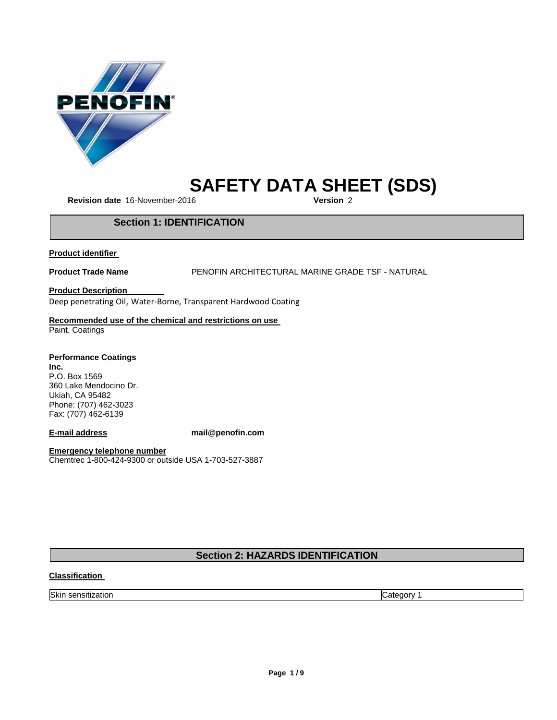

# **SAFETY DATA SHEET (SDS)**

**Revision date** 16-November-2016

# **Section 1: IDENTIFICATION**

**Product identifier**

**Product Trade Name** PENOFIN ARCHITECTURAL MARINE GRADE TSF - NATURAL

**Product Description**

Deep penetrating Oil, Water-Borne, Transparent Hardwood Coating

# **Recommended use of the chemical and restrictions on use**

Paint, Coatings

**Performance Coatings Inc.** P.O. Box 1569 360 Lake Mendocino Dr. Ukiah, CA 95482 Phone: (707) 462-3023 Fax: (707) 462-6139

**E-mail address mail@penofin.com**

**Emergency telephone number** Chemtrec 1-800-424-9300 or outside USA 1-703-527-3887

# **Section 2: HAZARDS IDENTIFICATION**

# **Classification**

Skin sensitization **Category 1**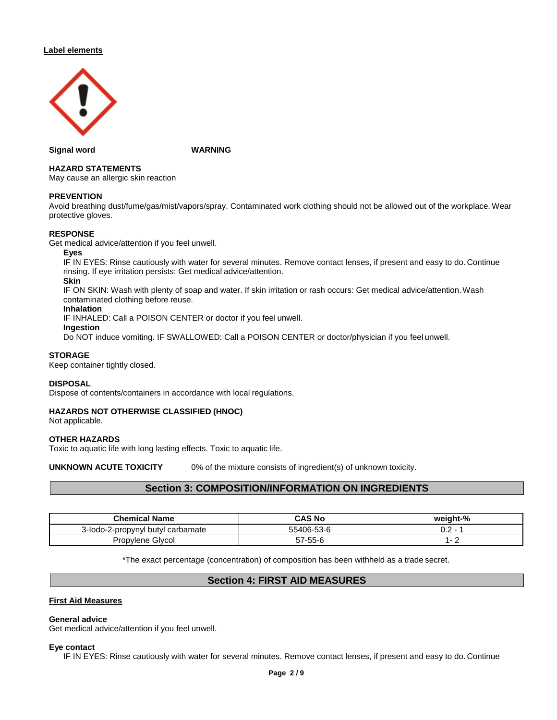# **Label elements**



**Signal word WARNING**

# **HAZARD STATEMENTS**

May cause an allergic skin reaction

# **PREVENTION**

Avoid breathing dust/fume/gas/mist/vapors/spray. Contaminated work clothing should not be allowed out of the workplace. Wear protective gloves.

# **RESPONSE**

Get medical advice/attention if you feel unwell.

# **Eyes**

IF IN EYES: Rinse cautiously with water for several minutes. Remove contact lenses, if present and easy to do. Continue rinsing. If eye irritation persists: Get medical advice/attention.

# **Skin**

IF ON SKIN: Wash with plenty of soap and water. If skin irritation or rash occurs: Get medical advice/attention.Wash contaminated clothing before reuse.

# **Inhalation**

IF INHALED: Call a POISON CENTER or doctor if you feel unwell.

# **Ingestion**

Do NOT induce vomiting. IF SWALLOWED: Call a POISON CENTER or doctor/physician if you feel unwell.

# **STORAGE**

Keep container tightly closed.

# **DISPOSAL**

Dispose of contents/containers in accordance with local regulations.

# **HAZARDS NOT OTHERWISE CLASSIFIED (HNOC)**

Not applicable.

#### **OTHER HAZARDS**

Toxic to aquatic life with long lasting effects. Toxic to aquatic life.

**UNKNOWN ACUTE TOXICITY** 0% of the mixture consists of ingredient(s) of unknown toxicity.

# **Section 3: COMPOSITION/INFORMATION ON INGREDIENTS**

| <b>Chemical Name</b>              | CAS No     | weight-%      |
|-----------------------------------|------------|---------------|
| 3-lodo-2-propynyl butyl carbamate | 55406-53-6 | U.Z<br>$\sim$ |
| Propylene Glycol                  | 57-55-6    |               |

\*The exact percentage (concentration) of composition has been withheld as a trade secret.

# **Section 4: FIRST AID MEASURES**

# **First Aid Measures**

# **General advice**

Get medical advice/attention if you feel unwell.

#### **Eye contact**

IF IN EYES: Rinse cautiously with water for several minutes. Remove contact lenses, if present and easy to do. Continue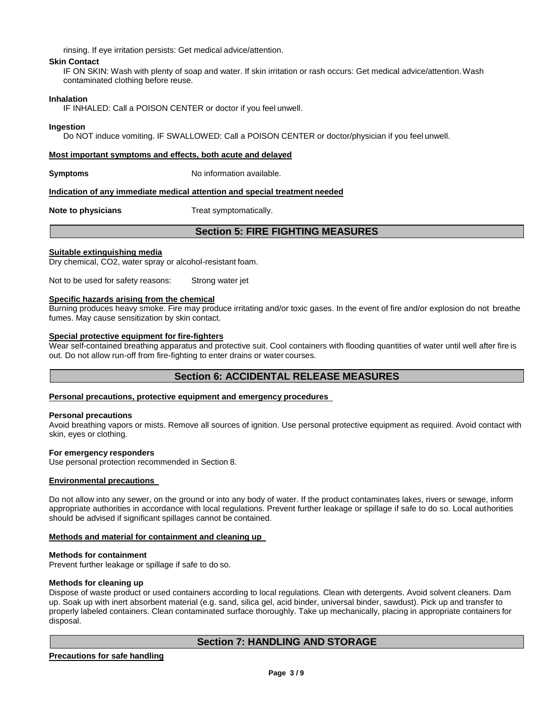rinsing. If eye irritation persists: Get medical advice/attention.

# **Skin Contact**

IF ON SKIN: Wash with plenty of soap and water. If skin irritation or rash occurs: Get medical advice/attention.Wash contaminated clothing before reuse.

# **Inhalation**

IF INHALED: Call a POISON CENTER or doctor if you feel unwell.

# **Ingestion**

Do NOT induce vomiting. IF SWALLOWED: Call a POISON CENTER or doctor/physician if you feel unwell.

# **Most important symptoms and effects, both acute and delayed**

**Symptoms** No information available.

#### **Indication of any immediate medical attention and special treatment needed**

**Note to physicians** Treat symptomatically.

# **Section 5: FIRE FIGHTING MEASURES**

# **Suitable extinguishing media**

Dry chemical, CO2, water spray or alcohol-resistant foam.

Not to be used for safety reasons: Strong water jet

# **Specific hazards arising from the chemical**

Burning produces heavy smoke. Fire may produce irritating and/or toxic gases. In the event of fire and/or explosion do not breathe fumes. May cause sensitization by skin contact.

# **Special protective equipment for fire-fighters**

Wear self-contained breathing apparatus and protective suit. Cool containers with flooding quantities of water until well after fire is out. Do not allow run-off from fire-fighting to enter drains or water courses.

# **Section 6: ACCIDENTAL RELEASE MEASURES**

# **Personal precautions, protective equipment and emergency procedures**

#### **Personal precautions**

Avoid breathing vapors or mists. Remove all sources of ignition. Use personal protective equipment as required. Avoid contact with skin, eyes or clothing.

#### **For emergency responders**

Use personal protection recommended in Section 8.

# **Environmental precautions**

Do not allow into any sewer, on the ground or into any body of water. If the product contaminates lakes, rivers or sewage, inform appropriate authorities in accordance with local regulations. Prevent further leakage or spillage if safe to do so. Local authorities should be advised if significant spillages cannot be contained.

#### **Methods and material for containment and cleaning up**

#### **Methods for containment**

Prevent further leakage or spillage if safe to do so.

#### **Methods for cleaning up**

Dispose of waste product or used containers according to local regulations. Clean with detergents. Avoid solvent cleaners. Dam up. Soak up with inert absorbent material (e.g. sand, silica gel, acid binder, universal binder, sawdust). Pick up and transfer to properly labeled containers. Clean contaminated surface thoroughly. Take up mechanically, placing in appropriate containers for disposal.

# **Section 7: HANDLING AND STORAGE**

# **Precautions for safe handling**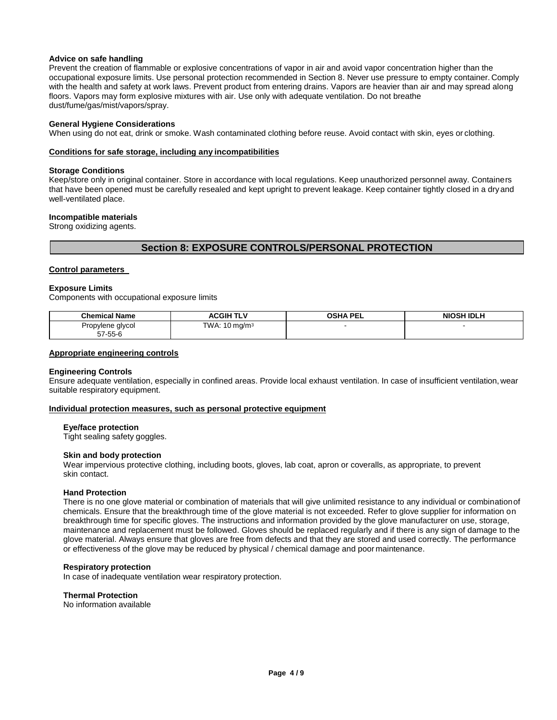# **Advice on safe handling**

Prevent the creation of flammable or explosive concentrations of vapor in air and avoid vapor concentration higher than the occupational exposure limits. Use personal protection recommended in Section 8. Never use pressure to empty container. Comply with the health and safety at work laws. Prevent product from entering drains. Vapors are heavier than air and may spread along floors. Vapors may form explosive mixtures with air. Use only with adequate ventilation. Do not breathe dust/fume/gas/mist/vapors/spray.

# **General Hygiene Considerations**

When using do not eat, drink or smoke. Wash contaminated clothing before reuse. Avoid contact with skin, eyes or clothing.

# **Conditions for safe storage, including any incompatibilities**

# **Storage Conditions**

Keep/store only in original container. Store in accordance with local regulations. Keep unauthorized personnel away. Containers that have been opened must be carefully resealed and kept upright to prevent leakage. Keep container tightly closed in a dryand well-ventilated place.

# **Incompatible materials**

Strong oxidizing agents.

# **Section 8: EXPOSURE CONTROLS/PERSONAL PROTECTION**

# **Control parameters**

#### **Exposure Limits**

Components with occupational exposure limits

| <b>Chemical Name</b> | ACGIH TLV                | <b>OSHA PEL</b> | NIOSH IDLH |
|----------------------|--------------------------|-----------------|------------|
| Propylene glycol     | TWA: $10 \text{ mg/m}^3$ |                 |            |
| 57-55-6              |                          |                 |            |

#### **Appropriate engineering controls**

#### **Engineering Controls**

Ensure adequate ventilation, especially in confined areas. Provide local exhaust ventilation. In case of insufficient ventilation, wear suitable respiratory equipment.

#### **Individual protection measures, such as personal protective equipment**

# **Eye/face protection**

Tight sealing safety goggles.

# **Skin and body protection**

Wear impervious protective clothing, including boots, gloves, lab coat, apron or coveralls, as appropriate, to prevent skin contact.

## **Hand Protection**

There is no one glove material or combination of materials that will give unlimited resistance to any individual or combinationof chemicals. Ensure that the breakthrough time of the glove material is not exceeded. Refer to glove supplier for information on breakthrough time for specific gloves. The instructions and information provided by the glove manufacturer on use, storage, maintenance and replacement must be followed. Gloves should be replaced regularly and if there is any sign of damage to the glove material. Always ensure that gloves are free from defects and that they are stored and used correctly. The performance or effectiveness of the glove may be reduced by physical / chemical damage and poor maintenance.

#### **Respiratory protection**

In case of inadequate ventilation wear respiratory protection.

# **Thermal Protection**

No information available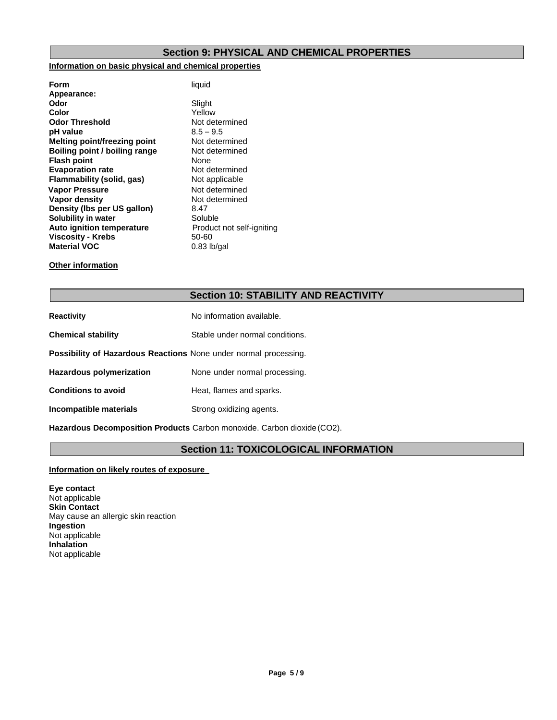# **Section 9: PHYSICAL AND CHEMICAL PROPERTIES**

# **Information on basic physical and chemical properties**

| Form                                | liquid                    |
|-------------------------------------|---------------------------|
| Appearance:                         |                           |
| Odor                                | Slight                    |
| Color                               | Yellow                    |
| <b>Odor Threshold</b>               | Not determined            |
| pH value                            | $8.5 - 9.5$               |
| <b>Melting point/freezing point</b> | Not determined            |
| Boiling point / boiling range       | Not determined            |
| <b>Flash point</b>                  | None                      |
| <b>Evaporation rate</b>             | Not determined            |
| Flammability (solid, gas)           | Not applicable            |
| <b>Vapor Pressure</b>               | Not determined            |
| Vapor density                       | Not determined            |
| Density (Ibs per US gallon)         | 8.47                      |
| Solubility in water                 | Soluble                   |
| Auto ignition temperature           | Product not self-igniting |
| <b>Viscosity - Krebs</b>            | 50-60                     |
| <b>Material VOC</b>                 | $0.83$ lb/gal             |
|                                     |                           |

# **Other information**

# **Section 10: STABILITY AND REACTIVITY**

| Stable under normal conditions.                                         |
|-------------------------------------------------------------------------|
| <b>Possibility of Hazardous Reactions None under normal processing.</b> |
| None under normal processing.                                           |
| Heat, flames and sparks.                                                |
| Strong oxidizing agents.                                                |
|                                                                         |

**Hazardous Decomposition Products** Carbon monoxide. Carbon dioxide(CO2).

# **Section 11: TOXICOLOGICAL INFORMATION**

# **Information on likely routes of exposure**

**Eye contact**  Not applicable **Skin Contact** May cause an allergic skin reaction **Ingestion** Not applicable **Inhalation**  Not applicable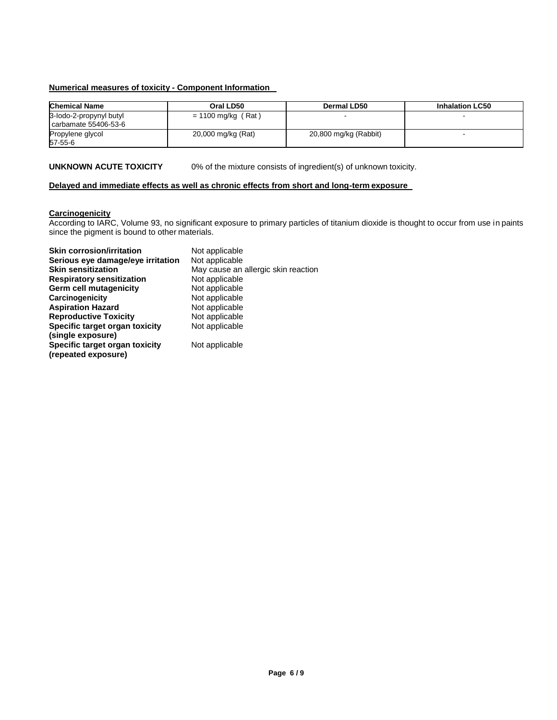# **Numerical measures of toxicity - Component Information**

| <b>Chemical Name</b>                            | Oral LD50            | Dermal LD50           | <b>Inhalation LC50</b> |
|-------------------------------------------------|----------------------|-----------------------|------------------------|
| 3-lodo-2-propynyl butyl<br>carbamate 55406-53-6 | $= 1100$ mg/kg (Rat) |                       |                        |
| Propylene glycol<br>57-55-6                     | 20,000 mg/kg (Rat)   | 20,800 mg/kg (Rabbit) |                        |

**UNKNOWN ACUTE TOXICITY** 0% of the mixture consists of ingredient(s) of unknown toxicity.

# **Delayed and immediate effects as well as chronic effects from short and long-term exposure**

# **Carcinogenicity**

According to IARC, Volume 93, no significant exposure to primary particles of titanium dioxide is thought to occur from use in paints since the pigment is bound to other materials.

| <b>Skin corrosion/irritation</b>                      | Not applicable                      |
|-------------------------------------------------------|-------------------------------------|
| Serious eye damage/eye irritation                     | Not applicable                      |
| <b>Skin sensitization</b>                             | May cause an allergic skin reaction |
| <b>Respiratory sensitization</b>                      | Not applicable                      |
| Germ cell mutagenicity                                | Not applicable                      |
| Carcinogenicity                                       | Not applicable                      |
| <b>Aspiration Hazard</b>                              | Not applicable                      |
| <b>Reproductive Toxicity</b>                          | Not applicable                      |
| Specific target organ toxicity                        | Not applicable                      |
| (single exposure)                                     |                                     |
| Specific target organ toxicity<br>(repeated exposure) | Not applicable                      |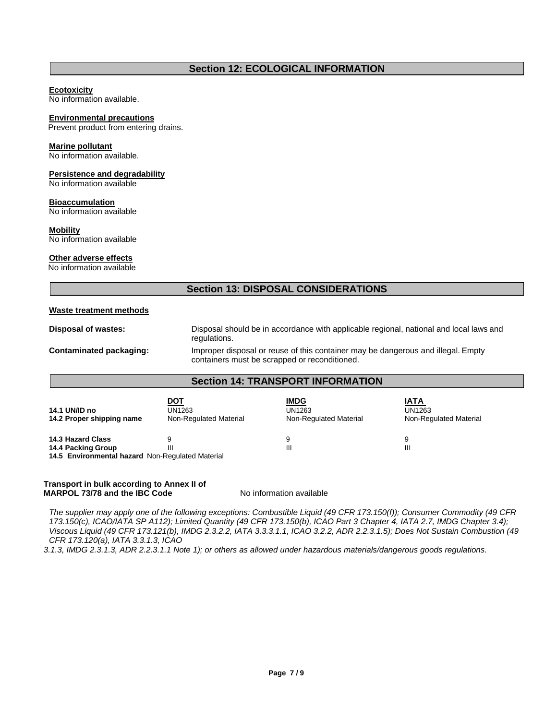# **Section 12: ECOLOGICAL INFORMATION**

# **Ecotoxicity**

No information available.

# **Environmental precautions**

Prevent product from entering drains.

# **Marine pollutant**

No information available.

# **Persistence and degradability**

No information available

# **Bioaccumulation**

No information available

# **Mobility**

No information available

# **Other adverse effects**

No information available

# **Section 13: DISPOSAL CONSIDERATIONS**

# **Waste treatment methods**

**Disposal of wastes:** Disposal should be in accordance with applicable regional, national and local laws and regulations. **Contaminated packaging:** Improper disposal or reuse of this container may be dangerous and illegal. Empty containers must be scrapped or reconditioned.

# **Section 14: TRANSPORT INFORMATION**

| DOT<br>UN1263<br>Non-Regulated Material | <b>IMDG</b><br>UN1263<br>Non-Regulated Material | IATA<br>UN1263<br>Non-Regulated Material |
|-----------------------------------------|-------------------------------------------------|------------------------------------------|
|                                         | a                                               | 9                                        |
| Ш                                       | Ш                                               | Ш                                        |
|                                         |                                                 |                                          |

**14.5 Environmental hazard** Non-Regulated Material

# **Transport in bulk according to Annex II of MARPOL 73/78 and the IBC Code** No information available

*The supplier may apply one of the following exceptions: Combustible Liquid (49 CFR 173.150(f)); Consumer Commodity (49 CFR 173.150(c), ICAO/IATA SP A112); Limited Quantity (49 CFR 173.150(b), ICAO Part 3 Chapter 4, IATA 2.7, IMDG Chapter 3.4); Viscous Liquid (49 CFR 173.121(b), IMDG 2.3.2.2, IATA 3.3.3.1.1, ICAO 3.2.2, ADR 2.2.3.1.5); Does Not Sustain Combustion (49 CFR 173.120(a), IATA 3.3.1.3, ICAO*

*3.1.3, IMDG 2.3.1.3, ADR 2.2.3.1.1 Note 1); or others as allowed under hazardous materials/dangerous goods regulations.*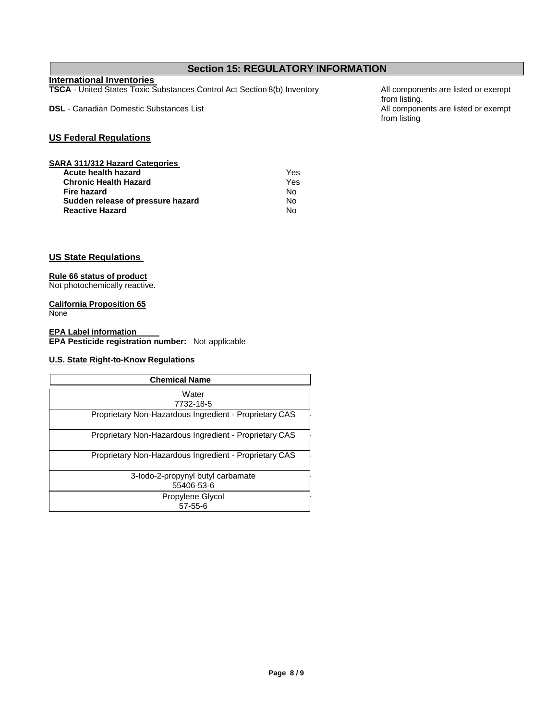# **Section 15: REGULATORY INFORMATION**

# **International Inventories**

**TSCA** - United States Toxic Substances Control Act Section 8(b) Inventory All components are listed or exempt

**DSL** - Canadian Domestic Substances List All components are listed or exempt

**US Federal Regulations**

| <b>SARA 311/312 Hazard Categories</b> |     |
|---------------------------------------|-----|
| Acute health hazard                   | Yes |
| <b>Chronic Health Hazard</b>          | Yes |
| Fire hazard                           | No  |
| Sudden release of pressure hazard     | N٥  |
| <b>Reactive Hazard</b>                | N٥  |

**US State Regulations**

# **Rule 66 status of product**

Not photochemically reactive.

# **California Proposition 65**

**None** 

**EPA Label information EPA Pesticide registration number:** Not applicable

# **U.S. State Right-to-Know Regulations**

| <b>Chemical Name</b>                                   |
|--------------------------------------------------------|
| Water                                                  |
| 7732-18-5                                              |
| Proprietary Non-Hazardous Ingredient - Proprietary CAS |
| Proprietary Non-Hazardous Ingredient - Proprietary CAS |
| Proprietary Non-Hazardous Ingredient - Proprietary CAS |
| 3-lodo-2-propynyl butyl carbamate                      |
| 55406-53-6                                             |
| Propylene Glycol                                       |
| $57 - 55 - 6$                                          |

from listing. from listing